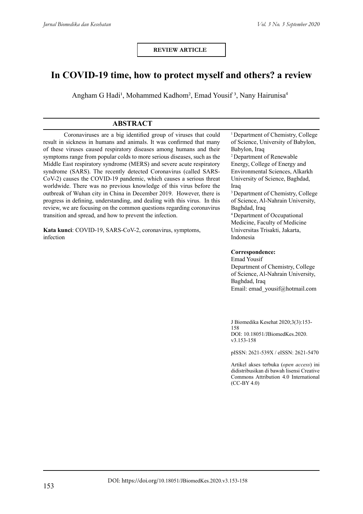**REVIEW ARTICLE**

# **In COVID-19 time, how to protect myself and others? a review**

Angham G Hadi<sup>1</sup>, Mohammed Kadhom<sup>2</sup>, Emad Yousif<sup>3</sup>, Nany Hairunisa<sup>4</sup>

# **ABSTRACT**

Coronaviruses are a big identified group of viruses that could result in sickness in humans and animals. It was confirmed that many of these viruses caused respiratory diseases among humans and their symptoms range from popular colds to more serious diseases, such as the Middle East respiratory syndrome (MERS) and severe acute respiratory syndrome (SARS). The recently detected Coronavirus (called SARS-CoV-2) causes the COVID-19 pandemic, which causes a serious threat worldwide. There was no previous knowledge of this virus before the outbreak of Wuhan city in China in December 2019. However, there is progress in defining, understanding, and dealing with this virus. In this review, we are focusing on the common questions regarding coronavirus transition and spread, and how to prevent the infection.

**Kata kunci**: COVID-19, SARS-CoV-2, coronavirus, symptoms, infection

<sup>1</sup> Department of Chemistry, College of Science, University of Babylon, Babylon, Iraq 2 Department of Renewable Energy, College of Energy and Environmental Sciences, Alkarkh University of Science, Baghdad, Iraq <sup>3</sup> Department of Chemistry, College of Science, Al-Nahrain University, Baghdad, Iraq <sup>4</sup>Department of Occupational Medicine, Faculty of Medicine Universitas Trisakti, Jakarta, Indonesia

#### **Correspondence:**

Emad Yousif Department of Chemistry, College of Science, Al-Nahrain University, Baghdad, Iraq Email: emad\_yousif@hotmail.com

J Biomedika Kesehat 2020;3(3):153- 158 DOI: 10.18051/JBiomedKes.2020. v3.153-158

pISSN: 2621-539X / eISSN: 2621-5470

Artikel akses terbuka (*open access*) ini didistribusikan di bawah lisensi Creative Commons Attribution 4.0 International (CC-BY 4.0)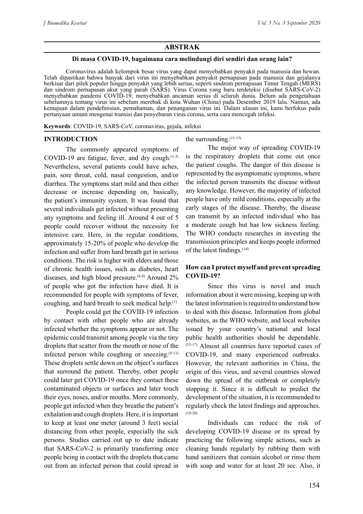#### **ABSTRAK**

#### **Di masa COVID-19, bagaimana cara melindungi diri sendiri dan orang lain?**

Coronavirus adalah kelompok besar virus yang dapat menyebabkan penyakit pada manusia dan hewan. Telah dipastikan bahwa banyak dari virus ini menyebabkan penyakit pernapasan pada manusia dan gejalanya berkisar dari pilek populer hingga penyakit yang lebih serius, seperti sindrom pernapasan Timur Tengah (MERS) dan sindrom pernapasan akut yang parah (SARS). Virus Corona yang baru terdeteksi (disebut SARS-CoV-2) menyebabkan pandemi COVID-19, menyebabkan ancaman serius di seluruh dunia. Belum ada pengetahuan sebelumnya tentang virus ini sebelum merebak di kota Wuhan (China) pada Desember 2019 lalu. Namun, ada kemajuan dalam pendefinisian, pemahaman, dan penanganan virus ini. Dalam ulasan ini, kami berfokus pada pertanyaan umum mengenai transisi dan penyebaran virus corona, serta cara mencegah infeksi.

**Keywords**: COVID-19, SARS-CoV, coronavirus, gejala, infeksi

#### **INTRODUCTION**

The commonly appeared symptoms of COVID-19 are fatigue, fever, and dry cough. $(1-3)$ Nevertheless, several patients could have aches, pain, sore throat, cold, nasal congestion, and/or diarrhea. The symptoms start mild and then either decrease or increase depending on, basically, the patient's immunity system. It was found that several individuals get infected without presenting any symptoms and feeling ill. Around 4 out of 5 people could recover without the necessity for intensive care. Here, in the regular conditions, approximately 15-20% of people who develop the infection and suffer from hard breath get in serious conditions. The risk is higher with elders and those of chronic health issues, such as diabetes, heart diseases, and high blood pressure.<sup> $(4-8)$ </sup> Around 2% of people who got the infection have died. It is recommended for people with symptoms of fever, coughing, and hard breath to seek medical help.(1)

People could get the COVID-19 infection by contact with other people who are already infected whether the symptoms appear or not. The epidemic could transmit among people via the tiny droplets that scatter from the mouth or nose of the infected person while coughing or sneezing. $(9-13)$ These droplets settle down on the object's surfaces that surround the patient. Thereby, other people could later get COVID-19 once they contact these contaminated objects or surfaces and later touch their eyes, noses, and/or mouths. More commonly, people get infected when they breathe the patient's exhalation and cough droplets. Here, it is important to keep at least one meter (around 3 feet) social distancing from other people, especially the sick persons. Studies carried out up to date indicate that SARS-CoV-2 is primarily transferring once people being in contact with the droplets that came out from an infected person that could spread in

#### the surrounding.<sup>(11-13)</sup>

The major way of spreading COVID-19 is the respiratory droplets that come out once the patient coughs. The danger of this disease is represented by the asymptomatic symptoms, where the infected person transmits the disease without any knowledge. However, the majority of infected people have only mild conditions, especially at the early stages of the disease. Thereby, the disease can transmit by an infected individual who has a moderate cough but has low sickness feeling. The WHO conducts researches in investing the transmission principles and keeps people informed of the latest findings.(14)

#### **How can I protect myself and prevent spreading COVID-19?**

Since this virus is novel and much information about it were missing, keeping up with the latest information is required to understand how to deal with this disease. Information from global websites, as the WHO website, and local websites issued by your country's national and local public health authorities should be dependable. (15-17) Almost all countries have reported cases of COVID-19, and many experienced outbreaks. However, the relevant authorities in China, the origin of this virus, and several countries slowed down the spread of the outbreak or completely stopping it. Since it is difficult to predict the development of the situation, it is recommended to regularly check the latest findings and approaches. (18-20)

Individuals can reduce the risk of developing COVID-19 disease or its spread by practicing the following simple actions, such as cleaning hands regularly by rubbing them with hand sanitizers that contain alcohol or rinse them with soap and water for at least 20 sec. Also, it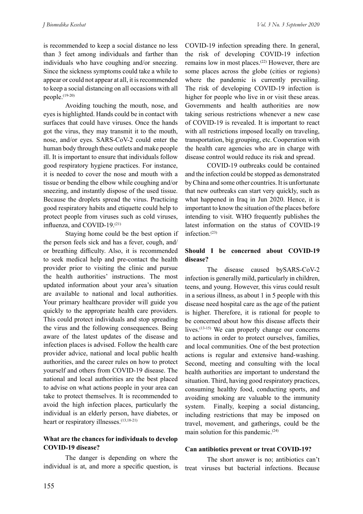is recommended to keep a social distance no less than 3 feet among individuals and farther than individuals who have coughing and/or sneezing. Since the sickness symptoms could take a while to appear or could not appear at all, it is recommended to keep a social distancing on all occasions with all people.(19-20)

Avoiding touching the mouth, nose, and eyes is highlighted. Hands could be in contact with surfaces that could have viruses. Once the hands got the virus, they may transmit it to the mouth, nose, and/or eyes. SARS-CoV-2 could enter the human body through these outlets and make people ill. It is important to ensure that individuals follow good respiratory hygiene practices. For instance, it is needed to cover the nose and mouth with a tissue or bending the elbow while coughing and/or sneezing, and instantly dispose of the used tissue. Because the droplets spread the virus. Practicing good respiratory habits and etiquette could help to protect people from viruses such as cold viruses, influenza, and COVID-19.(21)

Staying home could be the best option if the person feels sick and has a fever, cough, and/ or breathing difficulty. Also, it is recommended to seek medical help and pre-contact the health provider prior to visiting the clinic and pursue the health authorities' instructions. The most updated information about your area's situation are available to national and local authorities. Your primary healthcare provider will guide you quickly to the appropriate health care providers. This could protect individuals and stop spreading the virus and the following consequences. Being aware of the latest updates of the disease and infection places is advised. Follow the health care provider advice, national and local public health authorities, and the career rules on how to protect yourself and others from COVID-19 disease. The national and local authorities are the best placed to advise on what actions people in your area can take to protect themselves. It is recommended to avoid the high infection places, particularly the individual is an elderly person, have diabetes, or heart or respiratory illnesses.<sup>(13,18-21)</sup>

#### **What are the chances for individuals to develop COVID-19 disease?**

The danger is depending on where the individual is at, and more a specific question, is COVID-19 infection spreading there. In general, the risk of developing COVID-19 infection remains low in most places.(22) However, there are some places across the globe (cities or regions) where the pandemic is currently prevailing. The risk of developing COVID-19 infection is higher for people who live in or visit these areas. Governments and health authorities are now taking serious restrictions whenever a new case of COVID-19 is revealed. It is important to react with all restrictions imposed locally on traveling, transportation, big grouping, etc. Cooperation with the health care agencies who are in charge with disease control would reduce its risk and spread.

COVID-19 outbreaks could be contained and the infection could be stopped as demonstrated by China and some other countries. It is unfortunate that new outbreaks can start very quickly, such as what happened in Iraq in Jun 2020. Hence, it is important to know the situation of the places before intending to visit. WHO frequently publishes the latest information on the status of COVID-19 infection.(23)

# **Should I be concerned about COVID-19 disease?**

The disease caused bySARS-CoV-2 infection is generally mild, particularly in children, teens, and young. However, this virus could result in a serious illness, as about 1 in 5 people with this disease need hospital care as the age of the patient is higher. Therefore, it is rational for people to be concerned about how this disease affects their lives.<sup>(13-15)</sup> We can properly change our concerns to actions in order to protect ourselves, families, and local communities. One of the best protection actions is regular and extensive hand-washing. Second, meeting and consulting with the local health authorities are important to understand the situation. Third, having good respiratory practices, consuming healthy food, conducting sports, and avoiding smoking are valuable to the immunity system. Finally, keeping a social distancing, including restrictions that may be imposed on travel, movement, and gatherings, could be the main solution for this pandemic.(24)

# **Can antibiotics prevent or treat COVID-19?**

The short answer is no; antibiotics can't treat viruses but bacterial infections. Because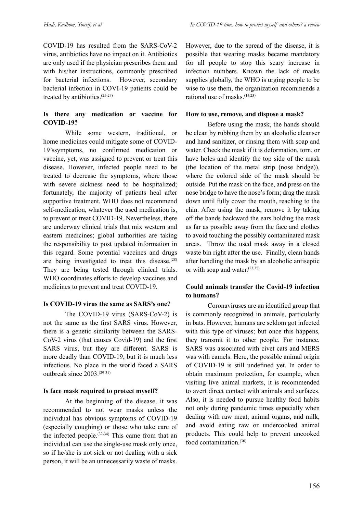COVID-19 has resulted from the SARS-CoV-2 virus, antibiotics have no impact on it. Antibiotics are only used if the physician prescribes them and with his/her instructions, commonly prescribed for bacterial infections. However, secondary bacterial infection in COVI-19 patients could be treated by antibiotics.(25-27)

# **Is there any medication or vaccine for COVID-19?**

While some western, traditional, or home medicines could mitigate some of COVID-19'ssymptoms, no confirmed medication or vaccine, yet, was assigned to prevent or treat this disease. However, infected people need to be treated to decrease the symptoms, where those with severe sickness need to be hospitalized; fortunately, the majority of patients heal after supportive treatment. WHO does not recommend self-medication, whatever the used medication is, to prevent or treat COVID-19. Nevertheless, there are underway clinical trials that mix western and eastern medicines; global authorities are taking the responsibility to post updated information in this regard. Some potential vaccines and drugs are being investigated to treat this disease. $(28)$ They are being tested through clinical trials. WHO coordinates efforts to develop vaccines and medicines to prevent and treat COVID-19.

# **Is COVID-19 virus the same as SARS's one?**

The COVID-19 virus (SARS-CoV-2) is not the same as the first SARS virus. However, there is a genetic similarity between the SARS-CoV-2 virus (that causes Covid-19) and the first SARS virus, but they are different. SARS is more deadly than COVID-19, but it is much less infectious. No place in the world faced a SARS outbreak since 2003.(29-31)

# **Is face mask required to protect myself?**

At the beginning of the disease, it was recommended to not wear masks unless the individual has obvious symptoms of COVID-19 (especially coughing) or those who take care of the infected people. $(32-34)$  This came from that an individual can use the single-use mask only once, so if he/she is not sick or not dealing with a sick person, it will be an unnecessarily waste of masks.

However, due to the spread of the disease, it is possible that wearing masks became mandatory for all people to stop this scary increase in infection numbers. Known the lack of masks supplies globally, the WHO is urging people to be wise to use them, the organization recommends a rational use of masks.<sup>(13,23)</sup>

# **How to use, remove, and dispose a mask?**

Before using the mask, the hands should be clean by rubbing them by an alcoholic cleanser and hand sanitizer, or rinsing them with soap and water. Check the mask if it is deformation, torn, or have holes and identify the top side of the mask (the location of the metal strip (nose bridge)), where the colored side of the mask should be outside. Put the mask on the face, and press on the nose bridge to have the nose's form; drag the mask down until fully cover the mouth, reaching to the chin. After using the mask, remove it by taking off the bands backward the ears holding the mask as far as possible away from the face and clothes to avoid touching the possibly contaminated mask areas. Throw the used mask away in a closed waste bin right after the use. Finally, clean hands after handling the mask by an alcoholic antiseptic or with soap and water.<sup>(23,35)</sup>

# **Could animals transfer the Covid-19 infection to humans?**

Coronaviruses are an identified group that is commonly recognized in animals, particularly in bats. However, humans are seldom got infected with this type of viruses; but once this happens, they transmit it to other people. For instance, SARS was associated with civet cats and MERS was with camels. Here, the possible animal origin of COVID-19 is still undefined yet. In order to obtain maximum protection, for example, when visiting live animal markets, it is recommended to avert direct contact with animals and surfaces. Also, it is needed to pursue healthy food habits not only during pandemic times especially when dealing with raw meat, animal organs, and milk, and avoid eating raw or undercooked animal products. This could help to prevent uncooked food contamination.(36)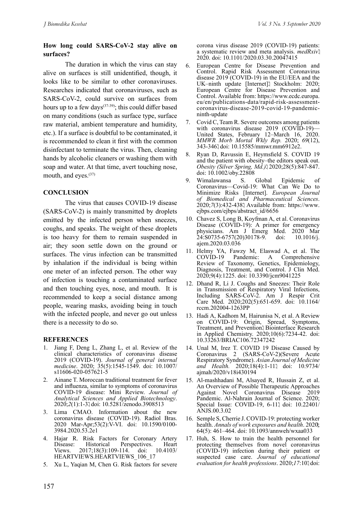#### **How long could SARS-CoV-2 stay alive on surfaces?**

The duration in which the virus can stay alive on surfaces is still unidentified, though, it looks like to be similar to other coronaviruses. Researches indicated that coronaviruses, such as SARS-CoV-2, could survive on surfaces from hours up to a few days<sup> $(37-39)$ </sup>; this could differ based on many conditions (such as surface type, surface raw material, ambient temperature and humidity, etc.). If a surface is doubtful to be contaminated, it is recommended to clean it first with the common disinfectant to terminate the virus. Then, cleaning hands by alcoholic cleaners or washing them with soap and water. At that time, avert touching nose, mouth, and eyes.<sup>(37)</sup>

#### **CONCLUSION**

The virus that causes COVID-19 disease (SARS-CoV-2) is mainly transmitted by droplets emitted by the infected person when sneezes, coughs, and speaks. The weight of these droplets is too heavy for them to remain suspended in air; they soon settle down on the ground or surfaces. The virus infection can be transmitted by inhalation if the individual is being within one meter of an infected person. The other way of infection is touching a contaminated surface and then touching eyes, nose, and mouth. It is recommended to keep a social distance among people, wearing masks, avoiding being in touch with the infected people, and never go out unless there is a necessity to do so.

#### **REFERENCES**

- Jiang F, Deng L, Zhang L, et al. Review of the clinical characteristics of coronavirus disease 2019 (COVID-19). *Journal of general internal medicine*. 2020; 35(5):1545-1549. doi: 10.1007/ s11606-020-057621-5
- 2. Ainane T. Moroccan traditional treatment for fever and influenza, similar to symptoms of coronavirus COVID-19 disease: Mini Review. *Journal of Analytical Sciences and Applied Biotechnology*. 2020;*2*(1):1-3. doi: 10.5281/zenodo.3908513
- 3. Lima CMAO. Information about the new coronavirus disease (COVID-19). Radiol Bras. 2020 Mar-Apr;53(2):V-VI. doi: 10.1590/0100- 3984.2020.53.2e1
- 4. Hajar R. Risk Factors for Coronary Artery<br>Disease: Historical Perspectives. Heart Disease: Historical Perspectives. Heart<br>Views. 2017;18(3):109-114. doi: 10.4103/  $2017;18(3):109-114.$  doi: HEARTVIEWS.HEARTVIEWS\_106\_17
- 5. Xu L, Yaqian M, Chen G. Risk factors for severe

corona virus disease 2019 (COVID-19) patients: a systematic review and meta analysis. *medRxiv*. 2020. doi: 10.1101/2020.03.30.20047415

- 6. European Centre for Disease Prevention and Control. Rapid Risk Assessment Coronavirus disease 2019 (COVID-19) in the EU/EEA and the UK–ninth update [Internet]. Stockholm: 2020; European Centre for Disease Prevention and Control. Available from: https://www.ecdc.europa. eu/en/publications-data/rapid-risk-assessmentcoronavirus-disease-2019-covid-19-pandemicninth-update
- 7. Covid C, Team R. Severe outcomes among patients with coronavirus disease 2019 (COVID-19)-United States, February 12–March 16, 2020. *MMWR Morb Mortal Wkly Rep.* 2020; *69*(12), 343-346. doi: 10.15585/mmwr.mm6912e2.
- 8. Ryan D, Ravussin E, Heymsfield S. COVID 19 and the patient with obesity–the editors speak out. *Obesity (Silver Spring, Md.)*. 2020;28(5):847-847. doi: 10.1002/oby.22808
- 9. Wimalawansa S. Global Epidemic of Coronavirus—Covid-19: What Can We Do to Minimize Risks [Internet]. *European Journal of Biomedical and Pharmaceutical Sciences*. 2020;*7*(3):432-438. Available from: https://www. ejbps.com/ejbps/abstract\_id/6656
- 10. Chavez S, Long B, Koyfman A, et al. Coronavirus Disease (COVID-19): A primer for emergency physicians. Am J Emerg Med. 2020 Mar  $24:50735-6757(20)30178-9.$  doi: 10.1016/j. ajem.2020.03.036
- 11. Helmy YA, Fawzy M, Elaswad A, et al. The Pandemic: A Comprehensive Review of Taxonomy, Genetics, Epidemiology, Diagnosis, Treatment, and Control. J Clin Med. 2020;9(4):1225. doi: 10.3390/jcm9041225
- 12. Dhand R, Li J. Coughs and Sneezes: Their Role in Transmission of Respiratory Viral Infections, Including SARS-CoV-2. Am J Respir Crit Care Med. 2020;202(5):651-659. doi: 10.1164/ rccm.202004-1263PP
- 13. Hadi A, Kadhom M, Hairunisa N, et al. A Review on COVID-19: Origin, Spread, Symptoms, Treatment, and Prevention. Biointerface Research in Applied Chemistry. 2020;10(6):7234-42. doi: 10.33263/BRIAC106.72347242
- 14. Unal M, Irez T. COVID 19 Disease Caused by Coronavirus 2 (SARS-CoV-2)(Severe Acute Respiratory Syndrome). *Asian Journal of Medicine and Health.* 2020;18(4):1-11<sup>1</sup> doi: 10.9734/ ajmah/2020/v18i430194
- 15. Al-mashhadani M, Alsayed R, Hussain Z, et al. An Overview of Possible Therapeutic Approaches Against Novel Coronavirus Disease 2019 Pandemic. Al-Nahrain Journal of Science. 2020; Special Issue: COVID-19, 6-11<sup>1</sup> doi: 10.22401/ ANJS.00.3.02
- 16. Semple S, Cherrie J. COVID-19: protecting worker health. *Annals of work exposures and health*. 2020: 64(5): 461–464. doi: 10.1093/annweh/wxaa033
- 17. Huh, S. How to train the health personnel for protecting themselves from novel coronavirus (COVID-19) infection during their patient or suspected case care. *Journal of educational evaluation for health professions*. 2020;*17*:10. doi: